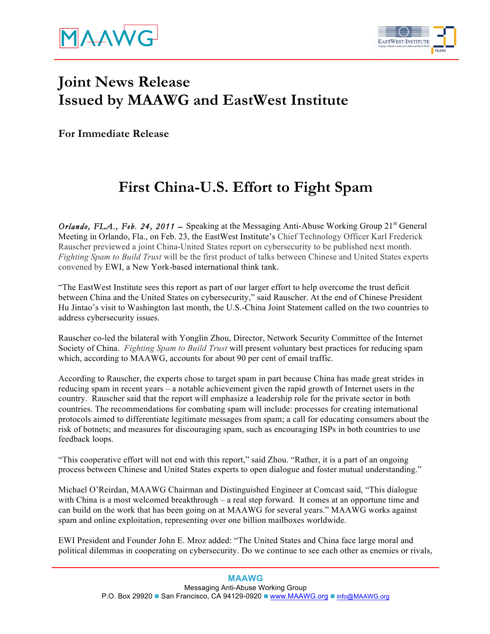

## **Joint News Release Issued by MAAWG and EastWest Institute**

**For Immediate Release**

## **First China-U.S. Effort to Fight Spam**

*Orlando, FLA., Feb. 24, 2011* – Speaking at the Messaging Anti-Abuse Working Group 21<sup>st</sup> General Meeting in Orlando, Fla., on Feb. 23, the EastWest Institute's Chief Technology Officer Karl Frederick Rauscher previewed a joint China-United States report on cybersecurity to be published next month. *Fighting Spam to Build Trust* will be the first product of talks between Chinese and United States experts convened by EWI, a New York-based international think tank.

"The EastWest Institute sees this report as part of our larger effort to help overcome the trust deficit between China and the United States on cybersecurity," said Rauscher. At the end of Chinese President Hu Jintao's visit to Washington last month, the U.S.-China Joint Statement called on the two countries to address cybersecurity issues.

Rauscher co-led the bilateral with Yonglin Zhou, Director, Network Security Committee of the Internet Society of China. *Fighting Spam to Build Trust* will present voluntary best practices for reducing spam which, according to MAAWG, accounts for about 90 per cent of email traffic.

According to Rauscher, the experts chose to target spam in part because China has made great strides in reducing spam in recent years – a notable achievement given the rapid growth of Internet users in the country. Rauscher said that the report will emphasize a leadership role for the private sector in both countries. The recommendations for combating spam will include: processes for creating international protocols aimed to differentiate legitimate messages from spam; a call for educating consumers about the risk of botnets; and measures for discouraging spam, such as encouraging ISPs in both countries to use feedback loops.

"This cooperative effort will not end with this report," said Zhou. "Rather, it is a part of an ongoing process between Chinese and United States experts to open dialogue and foster mutual understanding."

Michael O'Reirdan, MAAWG Chairman and Distinguished Engineer at Comcast said, "This dialogue with China is a most welcomed breakthrough – a real step forward. It comes at an opportune time and can build on the work that has been going on at MAAWG for several years." MAAWG works against spam and online exploitation, representing over one billion mailboxes worldwide.

EWI President and Founder John E. Mroz added: "The United States and China face large moral and political dilemmas in cooperating on cybersecurity. Do we continue to see each other as enemies or rivals,